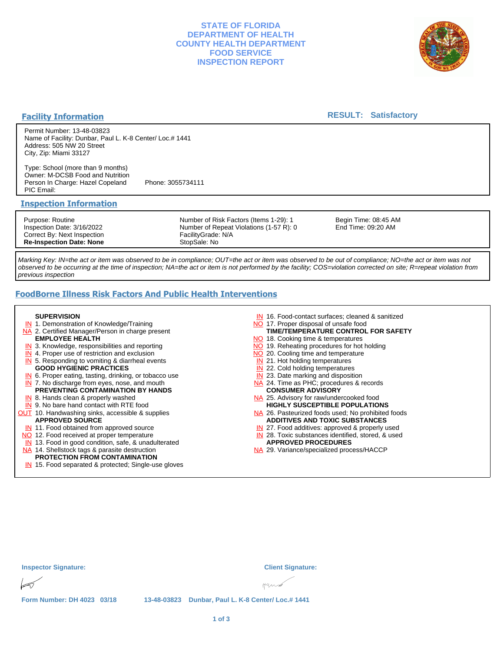## **STATE OF FLORIDA DEPARTMENT OF HEALTH COUNTY HEALTH DEPARTMENT FOOD SERVICE INSPECTION REPORT**



#### **Facility Information**

## **RESULT: Satisfactory**

Permit Number: 13-48-03823 Name of Facility: Dunbar, Paul L. K-8 Center/ Loc.# 1441 Address: 505 NW 20 Street City, Zip: Miami 33127

Type: School (more than 9 months) Owner: M-DCSB Food and Nutrition Person In Charge: Hazel Copeland Phone: 3055734111 PIC Email:

#### **Inspection Information**

Purpose: Routine Inspection Date: 3/16/2022 Correct By: Next Inspection **Re-Inspection Date: None**

Number of Risk Factors (Items 1-29): 1 Number of Repeat Violations (1-57 R): 0 FacilityGrade: N/A StopSale: No

Begin Time: 08:45 AM End Time: 09:20 AM

Marking Key: IN=the act or item was observed to be in compliance; OUT=the act or item was observed to be out of compliance; NO=the act or item was not observed to be occurring at the time of inspection; NA=the act or item is not performed by the facility; COS=violation corrected on site; R=repeat violation from previous inspection

# **FoodBorne Illness Risk Factors And Public Health Interventions**

#### **SUPERVISION**

- **IN** 1. Demonstration of Knowledge/Training
- NA 2. Certified Manager/Person in charge present **EMPLOYEE HEALTH**
- **IN** 3. Knowledge, responsibilities and reporting
- **IN** 4. Proper use of restriction and exclusion
- **IN** 5. Responding to vomiting & diarrheal events
- **GOOD HYGIENIC PRACTICES**
- **IN** 6. Proper eating, tasting, drinking, or tobacco use **IN** 7. No discharge from eyes, nose, and mouth
- **PREVENTING CONTAMINATION BY HANDS**
- IN 8. Hands clean & properly washed
- **IN** 9. No bare hand contact with RTE food **OUT** 10. Handwashing sinks, accessible & supplies **APPROVED SOURCE**
	- **IN** 11. Food obtained from approved source
- NO 12. Food received at proper temperature
- IN 13. Food in good condition, safe, & unadulterated
- NA 14. Shellstock tags & parasite destruction

#### **PROTECTION FROM CONTAMINATION**

IN 15. Food separated & protected; Single-use gloves

- IN 16. Food-contact surfaces; cleaned & sanitized
- NO 17. Proper disposal of unsafe food
- NO 18. Cooking time & temperatures **TIME/TEMPERATURE CONTROL FOR SAFETY**
- NO 19. Reheating procedures for hot holding
- NO 20. Cooling time and temperature
- IN 21. Hot holding temperatures
- **IN** 22. Cold holding temperatures
- **IN** 23. Date marking and disposition
- NA 24. Time as PHC; procedures & records **CONSUMER ADVISORY**
- NA 25. Advisory for raw/undercooked food **HIGHLY SUSCEPTIBLE POPULATIONS**
- NA 26. Pasteurized foods used; No prohibited foods **ADDITIVES AND TOXIC SUBSTANCES**
- IN 27. Food additives: approved & properly used
- IN 28. Toxic substances identified, stored, & used **APPROVED PROCEDURES**
- NA 29. Variance/specialized process/HACCP

| <b>Inspector Signature:</b> |  | <b>Client Signature:</b>                           |
|-----------------------------|--|----------------------------------------------------|
| $\triangleright$            |  | $H$ und                                            |
| Form Number: DH 4023 03/18  |  | 13-48-03823 Dunbar, Paul L. K-8 Center/ Loc.# 1441 |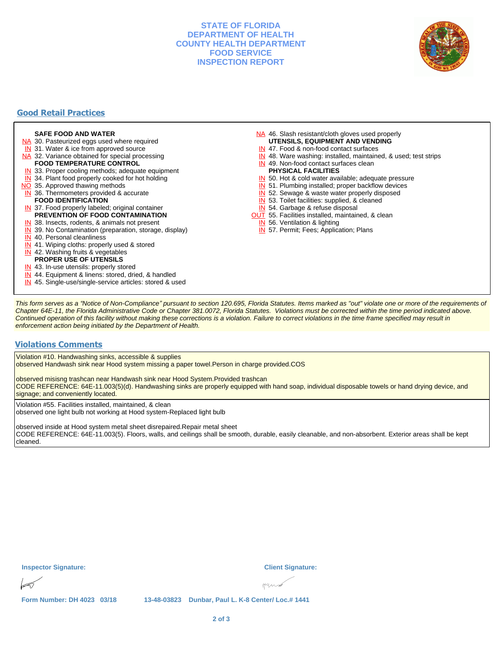## **STATE OF FLORIDA DEPARTMENT OF HEALTH COUNTY HEALTH DEPARTMENT FOOD SERVICE INSPECTION REPORT**



# **Good Retail Practices**

#### **SAFE FOOD AND WATER**

- NA 30. Pasteurized eggs used where required
- IN 31. Water & ice from approved source
- NA 32. Variance obtained for special processing **FOOD TEMPERATURE CONTROL**
- 
- **IN** 33. Proper cooling methods; adequate equipment
- **IN** 34. Plant food properly cooked for hot holding
- NO 35. Approved thawing methods
- IN 36. Thermometers provided & accurate **FOOD IDENTIFICATION**
- IN 37. Food properly labeled; original container **PREVENTION OF FOOD CONTAMINATION**
- IN 38. Insects, rodents, & animals not present
- **IN** 39. No Contamination (preparation, storage, display)
- IN 40. Personal cleanliness
- IN 41. Wiping cloths: properly used & stored
- IN 42. Washing fruits & vegetables
- **PROPER USE OF UTENSILS**
- IN 43. In-use utensils: properly stored
- IN 44. Equipment & linens: stored, dried, & handled
- IN 45. Single-use/single-service articles: stored & used
- NA 46. Slash resistant/cloth gloves used properly **UTENSILS, EQUIPMENT AND VENDING**
- IN 47. Food & non-food contact surfaces
- IN 48. Ware washing: installed, maintained, & used; test strips
- IN 49. Non-food contact surfaces clean
- **PHYSICAL FACILITIES**
- IN 50. Hot & cold water available; adequate pressure
- IN 51. Plumbing installed; proper backflow devices
- IN 52. Sewage & waste water properly disposed
- IN 53. Toilet facilities: supplied, & cleaned
- IN 54. Garbage & refuse disposal
- **OUT** 55. Facilities installed, maintained, & clean
- IN 56. Ventilation & lighting
- IN 57. Permit; Fees; Application; Plans

This form serves as a "Notice of Non-Compliance" pursuant to section 120.695, Florida Statutes. Items marked as "out" violate one or more of the requirements of Chapter 64E-11, the Florida Administrative Code or Chapter 381.0072, Florida Statutes. Violations must be corrected within the time period indicated above. Continued operation of this facility without making these corrections is a violation. Failure to correct violations in the time frame specified may result in enforcement action being initiated by the Department of Health.

#### **Violations Comments**

Violation #10. Handwashing sinks, accessible & supplies observed Handwash sink near Hood system missing a paper towel.Person in charge provided.COS

observed misisng trashcan near Handwash sink near Hood System.Provided trashcan

CODE REFERENCE: 64E-11.003(5)(d). Handwashing sinks are properly equipped with hand soap, individual disposable towels or hand drying device, and signage; and conveniently located.

Violation #55. Facilities installed, maintained, & clean

observed one light bulb not working at Hood system-Replaced light bulb

observed inside at Hood system metal sheet disrepaired.Repair metal sheet CODE REFERENCE: 64E-11.003(5). Floors, walls, and ceilings shall be smooth, durable, easily cleanable, and non-absorbent. Exterior areas shall be kept cleaned.

| <b>Inspector Signature:</b> | <b>Client Signature:</b>                                                  |
|-----------------------------|---------------------------------------------------------------------------|
| $\sqrt{ }$                  | Hunb                                                                      |
| --- ---- ----<br>. .<br>-   | .<br>$\sim$ $\sim$ $\sim$ $\sim$ $\sim$ $\sim$ $\sim$<br>$\sim$<br>$\sim$ |

**Form Number: DH 4023 03/18 13-48-03823 Dunbar, Paul L. K-8 Center/ Loc.# 1441**